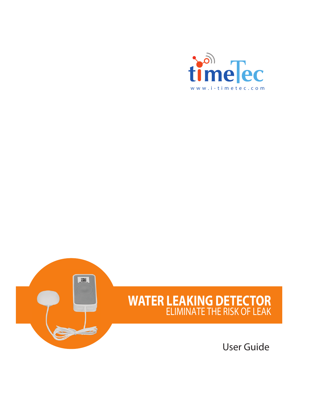



User Guide

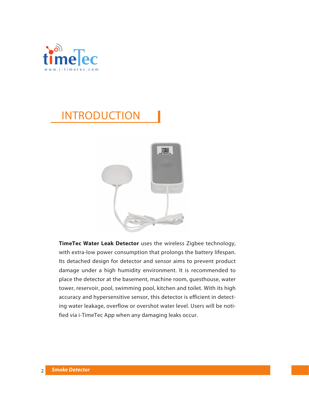

### INTRODUCTION



**TimeTec Water Leak Detector** uses the wireless Zigbee technology, with extra-low power consumption that prolongs the battery lifespan. Its detached design for detector and sensor aims to prevent product damage under a high humidity environment. It is recommended to place the detector at the basement, machine room, guesthouse, water tower, reservoir, pool, swimming pool, kitchen and toilet. With its high accuracy and hypersensitive sensor, this detector is efficient in detecting water leakage, overflow or overshot water level. Users will be notified via i-TimeTec App when any damaging leaks occur.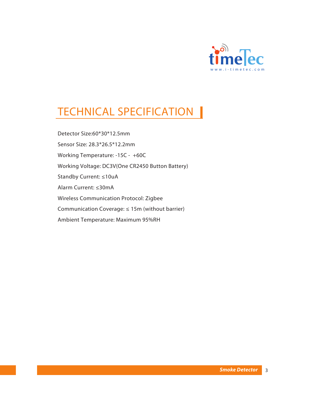

## TECHNICAL SPECIFICATION

Detector Size:60\*30\*12.5mm Sensor Size: 28.3\*26.5\*12.2mm Working Temperature: -15C - +60C Working Voltage: DC3V(One CR2450 Button Battery) Standby Current: ≤10uA Alarm Current: ≤30mA Wireless Communication Protocol: Zigbee Communication Coverage: ≤ 15m (without barrier) Ambient Temperature: Maximum 95%RH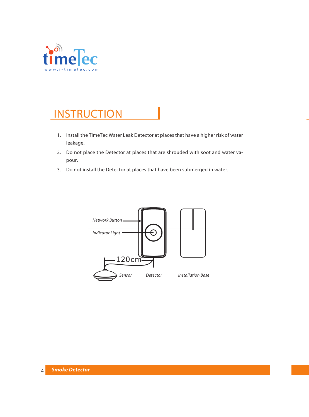

# **INSTRUCTION**

- 1. Install the TimeTec Water Leak Detector at places that have a higher risk of water leakage.
- 2. Do not place the Detector at places that are shrouded with soot and water vapour.
- 3. Do not install the Detector at places that have been submerged in water.

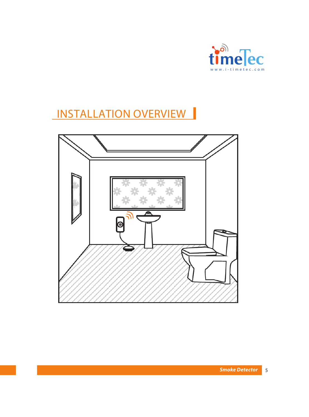

## INSTALLATION OVERVIEW

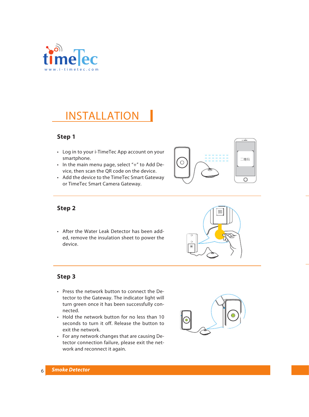

# INSTALLATION

#### **Step 1**

- Log in to your i-TimeTec App account on your smartphone.
- In the main menu page, select "+" to Add Device, then scan the QR code on the device.
- Add the device to the TimeTec Smart Gateway or TimeTec Smart Camera Gateway.



#### **Step 2**

• After the Water Leak Detector has been added, remove the insulation sheet to power the device.



#### **Step 3**

- Press the network button to connect the Detector to the Gateway. The indicator light will turn green once it has been successfully connected.
- Hold the network button for no less than 10 seconds to turn it off. Release the button to exit the network.
- For any network changes that are causing Detector connection failure, please exit the network and reconnect it again.

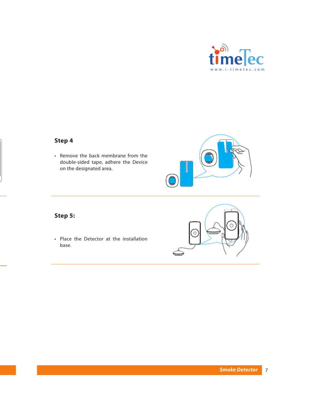

### **Step 4**

• Remove the back membrane from the double-sided tape, adhere the Device on the designated area.

### **Step 5:**

• Place the Detector at the installation base.